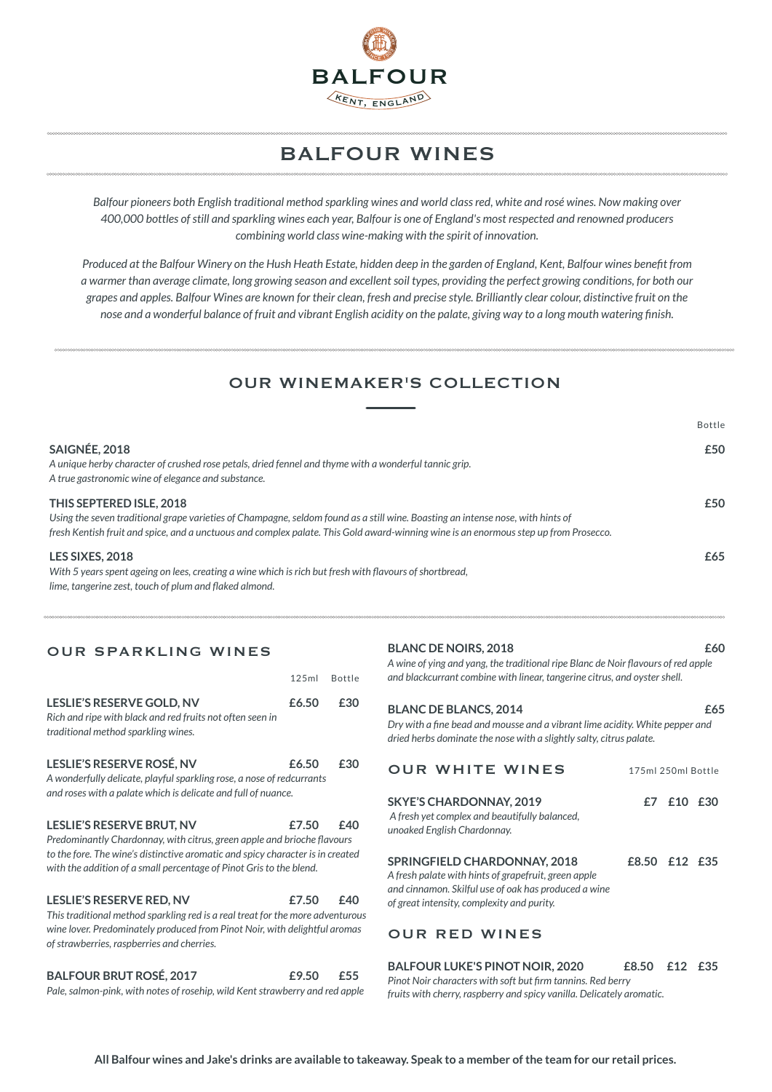

# **BALFOUR WINES**

Balfour pioneers both English traditional method sparkling wines and world class red, white and rosé wines. Now making over 400,000 bottles of still and sparkling wines each year, Balfour is one of England's most respected and renowned producers *combining world class wine-making with the spirit of innovation.* 

*Produced at the Balfour Winery on the Hush Heath Estate, hidden deep in the garden of England, Kent, Balfour wines benefit from a* warmer than average climate, long growing season and excellent soil types, providing the perfect growing conditions, for both our grapes and apples. Balfour Wines are known for their clean, fresh and precise style. Brilliantly clear colour, distinctive fruit on the *nose and a wonderful balance of fruit and vibrant English acidity on the palate, giving way to a long mouth watering finish.* 

### OUR WINEMAKER'S COLLECTION

|                                                                                                                                                                                                                                                                                                     | Bottle |
|-----------------------------------------------------------------------------------------------------------------------------------------------------------------------------------------------------------------------------------------------------------------------------------------------------|--------|
| SAIGNÉE, 2018<br>A unique herby character of crushed rose petals, dried fennel and thyme with a wonderful tannic grip.<br>A true gastronomic wine of elegance and substance.                                                                                                                        | £50    |
| THIS SEPTERED ISLE, 2018<br>Using the seven traditional grape varieties of Champagne, seldom found as a still wine. Boasting an intense nose, with hints of<br>fresh Kentish fruit and spice, and a unctuous and complex palate. This Gold award-winning wine is an enormous step up from Prosecco. | £50    |
| LES SIXES, 2018<br>With 5 years spent ageing on lees, creating a wine which is rich but fresh with flavours of shortbread,<br>lime, tangerine zest, touch of plum and flaked almond.                                                                                                                | £65    |

### OUR SPARKLING WINES

|                                                                                                                                                                                                                                                                      | 125ml | <b>Bottle</b> |
|----------------------------------------------------------------------------------------------------------------------------------------------------------------------------------------------------------------------------------------------------------------------|-------|---------------|
| <b>LESLIE'S RESERVE GOLD, NV</b><br>Rich and ripe with black and red fruits not often seen in<br>traditional method sparkling wines.                                                                                                                                 | £6.50 | £30           |
| LESLIE'S RESERVE ROSÉ, NV<br>A wonderfully delicate, playful sparkling rose, a nose of redcurrants<br>and roses with a palate which is delicate and full of nuance.                                                                                                  | £6.50 | £30           |
| <b>LESLIE'S RESERVE BRUT, NV</b><br>Predominantly Chardonnay, with citrus, green apple and brioche flavours<br>to the fore. The wine's distinctive aromatic and spicy character is in created<br>with the addition of a small percentage of Pinot Gris to the blend. | £7.50 | f40           |
| <b>LESLIE'S RESERVE RED, NV</b><br>This traditional method sparkling red is a real treat for the more adventurous<br>wine lover. Predominately produced from Pinot Noir, with delightful aromas<br>of strawberries, raspberries and cherries.                        | £7.50 | £40           |
| <b>BALFOUR BRUT ROSÉ, 2017</b>                                                                                                                                                                                                                                       | £9.50 | £55           |

Pale, salmon-pink, with notes of rosehip, wild Kent strawberry and red apple

### **EXAMPLE BLANC DE NOIRS. 2018** 60

A wine of ying and yang, the traditional ripe Blanc de Noir flavours of red apple and blackcurrant combine with linear, tangerine citrus, and oyster shell.

#### **EXECUTE: BLANCS, 2014** 65

*Dry with a fine bead and mousse and a vibrant lime acidity. White pepper and* dried herbs dominate the nose with a slightly salty, citrus palate.

| <b>OUR WHITE WINES</b>                                                                                                                                                                            | 175ml 250ml Bottle |            |  |  |  |
|---------------------------------------------------------------------------------------------------------------------------------------------------------------------------------------------------|--------------------|------------|--|--|--|
| <b>SKYE'S CHARDONNAY, 2019</b><br>A fresh yet complex and beautifully balanced,<br>unoaked English Chardonnay.                                                                                    |                    | £7 £10 £30 |  |  |  |
| <b>SPRINGFIELD CHARDONNAY, 2018</b><br>A fresh palate with hints of grapefruit, green apple<br>and cinnamon. Skilful use of oak has produced a wine<br>of great intensity, complexity and purity. | £8.50 £12 £35      |            |  |  |  |

### **OUR RED WINES**

| <b>BALFOUR LUKE'S PINOT NOIR, 2020</b>                                | £8.50 £12 £35 |  |  |  |  |
|-----------------------------------------------------------------------|---------------|--|--|--|--|
| Pinot Noir characters with soft but firm tannins. Red berry           |               |  |  |  |  |
| fruits with cherry, raspberry and spicy vanilla. Delicately aromatic. |               |  |  |  |  |